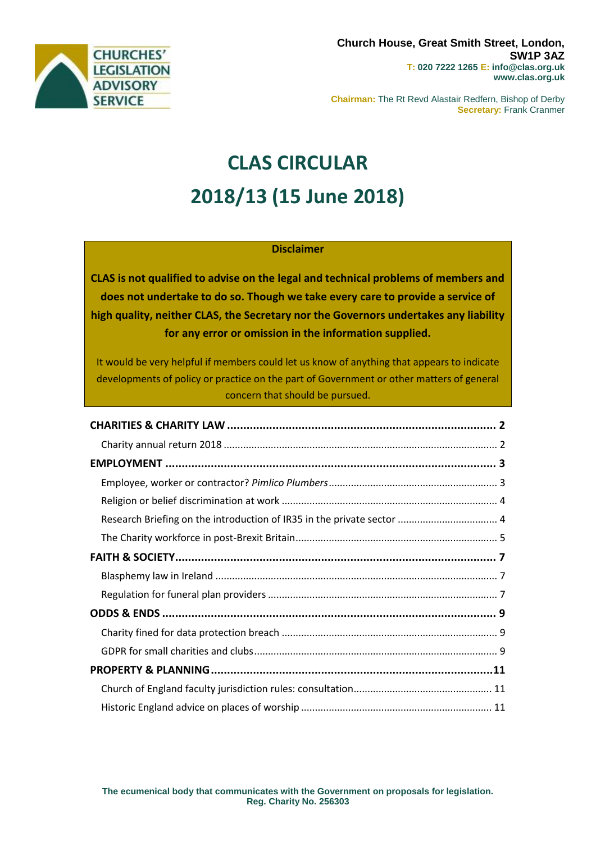

**Chairman:** The Rt Revd Alastair Redfern, Bishop of Derby **Secretary:** Frank Cranmer

# **CLAS CIRCULAR 2018/13 (15 June 2018)**

## **Disclaimer**

**CLAS is not qualified to advise on the legal and technical problems of members and does not undertake to do so. Though we take every care to provide a service of high quality, neither CLAS, the Secretary nor the Governors undertakes any liability for any error or omission in the information supplied.**

It would be very helpful if members could let us know of anything that appears to indicate developments of policy or practice on the part of Government or other matters of general concern that should be pursued.

| Research Briefing on the introduction of IR35 in the private sector  4 |  |
|------------------------------------------------------------------------|--|
|                                                                        |  |
|                                                                        |  |
|                                                                        |  |
|                                                                        |  |
|                                                                        |  |
|                                                                        |  |
|                                                                        |  |
|                                                                        |  |
|                                                                        |  |
|                                                                        |  |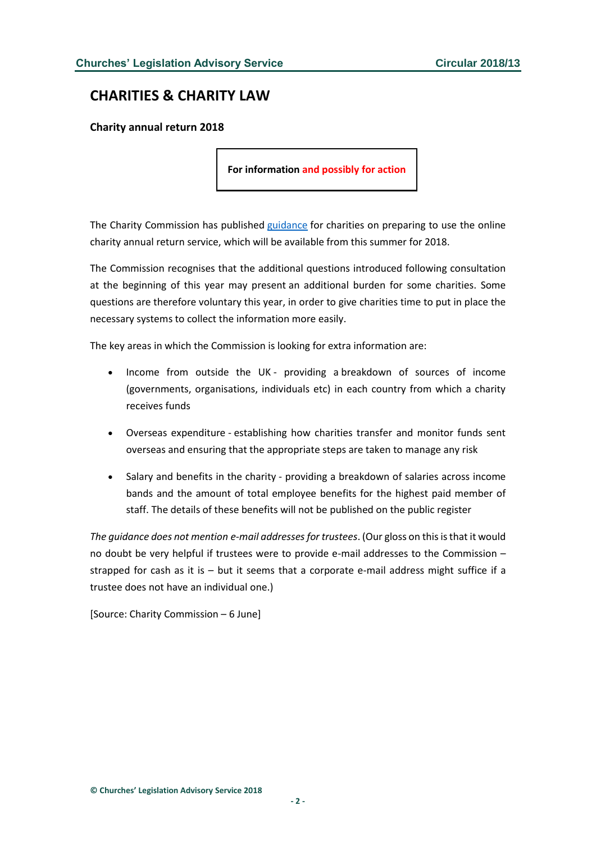# <span id="page-1-0"></span>**CHARITIES & CHARITY LAW**

<span id="page-1-1"></span>**Charity annual return 2018**

**For information and possibly for action**

The Charity Commission has published [guidance](http://www.gov.uk/government/news/charity-annual-return-2018) for charities on preparing to use the online charity annual return service, which will be available from this summer for 2018.

The Commission recognises that the additional questions introduced following consultation at the beginning of this year may present an additional burden for some charities. Some questions are therefore voluntary this year, in order to give charities time to put in place the necessary systems to collect the information more easily.

The key areas in which the Commission is looking for extra information are:

- Income from outside the UK providing a breakdown of sources of income (governments, organisations, individuals etc) in each country from which a charity receives funds
- Overseas expenditure establishing how charities transfer and monitor funds sent overseas and ensuring that the appropriate steps are taken to manage any risk
- Salary and benefits in the charity providing a breakdown of salaries across income bands and the amount of total employee benefits for the highest paid member of staff. The details of these benefits will not be published on the public register

*The guidance does not mention e-mail addresses for trustees*. (Our gloss on this is that it would no doubt be very helpful if trustees were to provide e-mail addresses to the Commission – strapped for cash as it is – but it seems that a corporate e-mail address might suffice if a trustee does not have an individual one.)

[Source: Charity Commission – 6 June]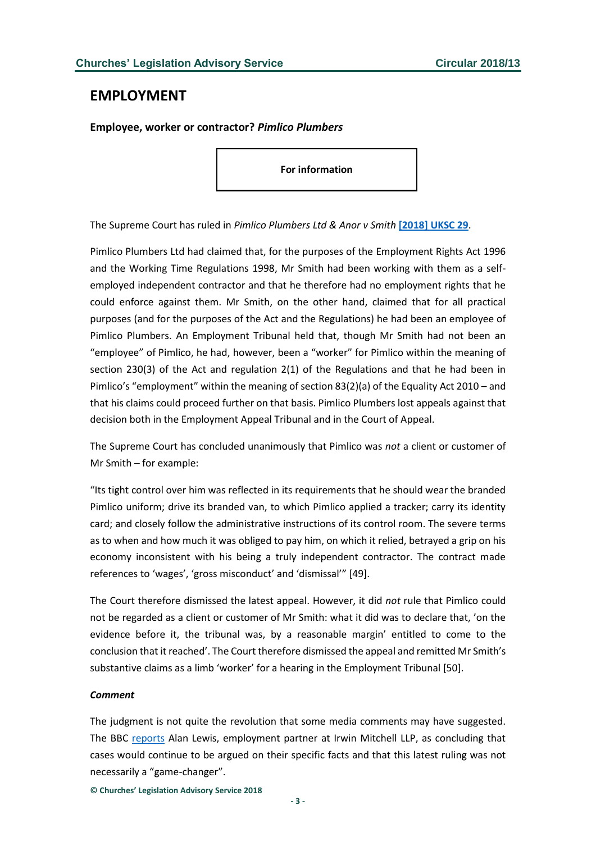## <span id="page-2-0"></span>**EMPLOYMENT**

<span id="page-2-1"></span>**Employee, worker or contractor?** *Pimlico Plumbers*

**For information**

The Supreme Court has ruled in *Pimlico Plumbers Ltd & Anor v Smith* **[\[2018\] UKSC 29](http://www.bailii.org/uk/cases/UKSC/2018/29.html)**.

Pimlico Plumbers Ltd had claimed that, for the purposes of the Employment Rights Act 1996 and the Working Time Regulations 1998, Mr Smith had been working with them as a selfemployed independent contractor and that he therefore had no employment rights that he could enforce against them. Mr Smith, on the other hand, claimed that for all practical purposes (and for the purposes of the Act and the Regulations) he had been an employee of Pimlico Plumbers. An Employment Tribunal held that, though Mr Smith had not been an "employee" of Pimlico, he had, however, been a "worker" for Pimlico within the meaning of section 230(3) of the Act and regulation 2(1) of the Regulations and that he had been in Pimlico's "employment" within the meaning of section 83(2)(a) of the Equality Act 2010 – and that his claims could proceed further on that basis. Pimlico Plumbers lost appeals against that decision both in the Employment Appeal Tribunal and in the Court of Appeal.

The Supreme Court has concluded unanimously that Pimlico was *not* a client or customer of Mr Smith – for example:

"Its tight control over him was reflected in its requirements that he should wear the branded Pimlico uniform; drive its branded van, to which Pimlico applied a tracker; carry its identity card; and closely follow the administrative instructions of its control room. The severe terms as to when and how much it was obliged to pay him, on which it relied, betrayed a grip on his economy inconsistent with his being a truly independent contractor. The contract made references to 'wages', 'gross misconduct' and 'dismissal'" [49].

The Court therefore dismissed the latest appeal. However, it did *not* rule that Pimlico could not be regarded as a client or customer of Mr Smith: what it did was to declare that, 'on the evidence before it, the tribunal was, by a reasonable margin' entitled to come to the conclusion that it reached'. The Court therefore dismissed the appeal and remitted Mr Smith's substantive claims as a limb 'worker' for a hearing in the Employment Tribunal [50].

#### *Comment*

The judgment is not quite the revolution that some media comments may have suggested. The BBC [reports](https://www.bbc.com/news/amp/business-44465639) Alan Lewis, employment partner at Irwin Mitchell LLP, as concluding that cases would continue to be argued on their specific facts and that this latest ruling was not necessarily a "game-changer".

**© Churches' Legislation Advisory Service 2018**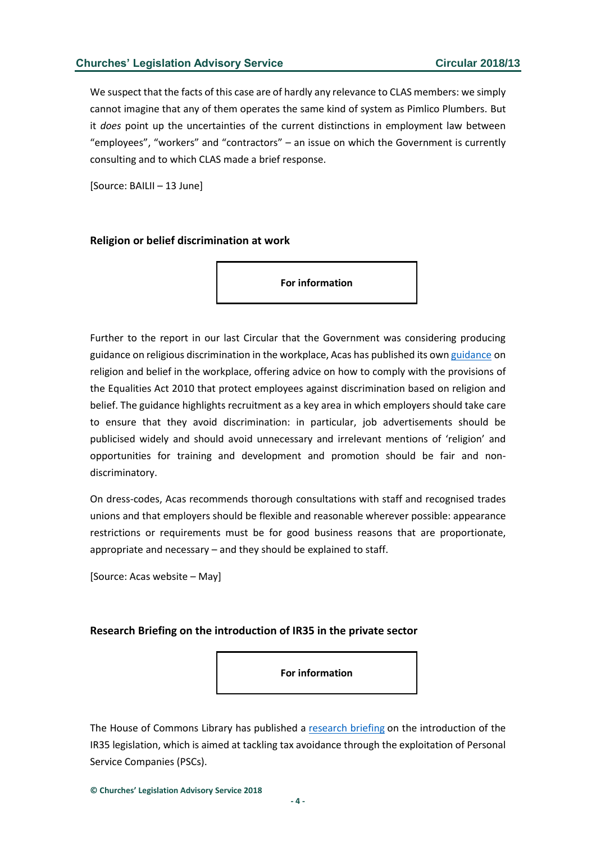We suspect that the facts of this case are of hardly any relevance to CLAS members: we simply cannot imagine that any of them operates the same kind of system as Pimlico Plumbers. But it *does* point up the uncertainties of the current distinctions in employment law between "employees", "workers" and "contractors" – an issue on which the Government is currently consulting and to which CLAS made a brief response.

[Source: BAILII – 13 June]

#### <span id="page-3-0"></span>**Religion or belief discrimination at work**

**For information**

Further to the report in our last Circular that the Government was considering producing guidance on religious discrimination in the workplace, Acas has published its own [guidance](http://www.acas.org.uk/media/pdf/a/p/Religion-or-belief-discrimination-key-points-for-the-workplace.pdf) on religion and belief in the workplace, offering advice on how to comply with the provisions of the Equalities Act 2010 that protect employees against discrimination based on religion and belief. The guidance highlights recruitment as a key area in which employers should take care to ensure that they avoid discrimination: in particular, job advertisements should be publicised widely and should avoid unnecessary and irrelevant mentions of 'religion' and opportunities for training and development and promotion should be fair and nondiscriminatory.

On dress-codes, Acas recommends thorough consultations with staff and recognised trades unions and that employers should be flexible and reasonable wherever possible: appearance restrictions or requirements must be for good business reasons that are proportionate, appropriate and necessary – and they should be explained to staff.

[Source: Acas website – May]

#### <span id="page-3-1"></span>**Research Briefing on the introduction of IR35 in the private sector**

**For information**

The House of Commons Library has published a [research briefing](http://researchbriefings.parliament.uk/ResearchBriefing/Summary/SN00914#fullreport) on the introduction of the IR35 legislation, which is aimed at tackling tax avoidance through the exploitation of Personal Service Companies (PSCs).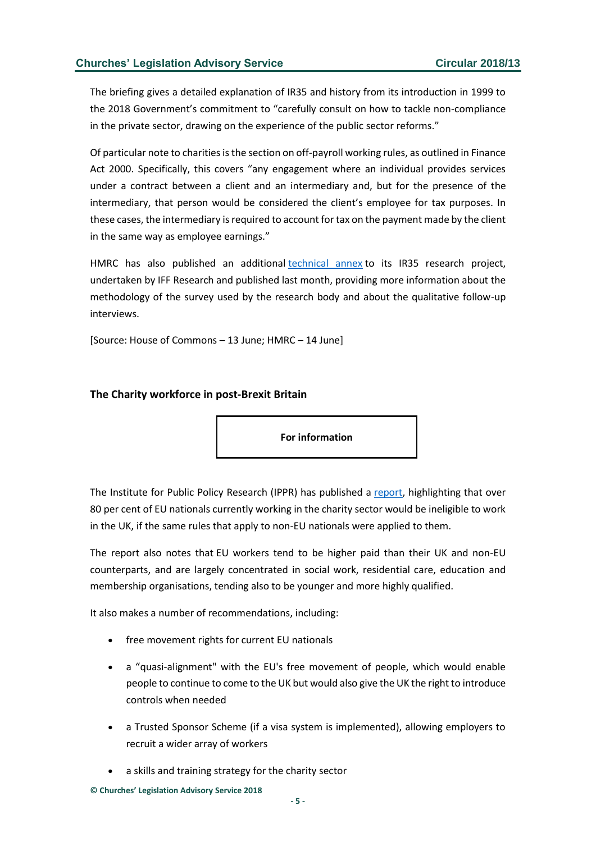The briefing gives a detailed explanation of IR35 and history from its introduction in 1999 to the 2018 Government's commitment to "carefully consult on how to tackle non-compliance in the private sector, drawing on the experience of the public sector reforms."

Of particular note to charities is the section on off-payroll working rules, as outlined in Finance Act 2000. Specifically, this covers "any engagement where an individual provides services under a contract between a client and an intermediary and, but for the presence of the intermediary, that person would be considered the client's employee for tax purposes. In these cases, the intermediary is required to account for tax on the payment made by the client in the same way as employee earnings."

HMRC has also published an additional [technical annex](http://assets.publishing.service.gov.uk/government/uploads/system/uploads/attachment_data/file/716199/Off-payroll_reform_in_the_public_sector_-_Technical_Annex.pdf) to its IR35 research project, undertaken by IFF Research and published last month, providing more information about the methodology of the survey used by the research body and about the qualitative follow-up interviews.

[Source: House of Commons – 13 June; HMRC – 14 June]

#### <span id="page-4-0"></span>**The Charity workforce in post-Brexit Britain**

**For information**

The Institute for Public Policy Research (IPPR) has published a [report,](http://cfg.org.uk/userfiles/documents/Policy%20documents/Brexit_and_the_charity_workforce_April18_PROOF_V3.pdf) highlighting that over 80 per cent of EU nationals currently working in the charity sector would be ineligible to work in the UK, if the same rules that apply to non-EU nationals were applied to them.

The report also notes that EU workers tend to be higher paid than their UK and non-EU counterparts, and are largely concentrated in social work, residential care, education and membership organisations, tending also to be younger and more highly qualified.

It also makes a number of recommendations, including:

- free movement rights for current EU nationals
- a "quasi-alignment" with the EU's free movement of people, which would enable people to continue to come to the UK but would also give the UK the right to introduce controls when needed
- a Trusted Sponsor Scheme (if a visa system is implemented), allowing employers to recruit a wider array of workers
- a skills and training strategy for the charity sector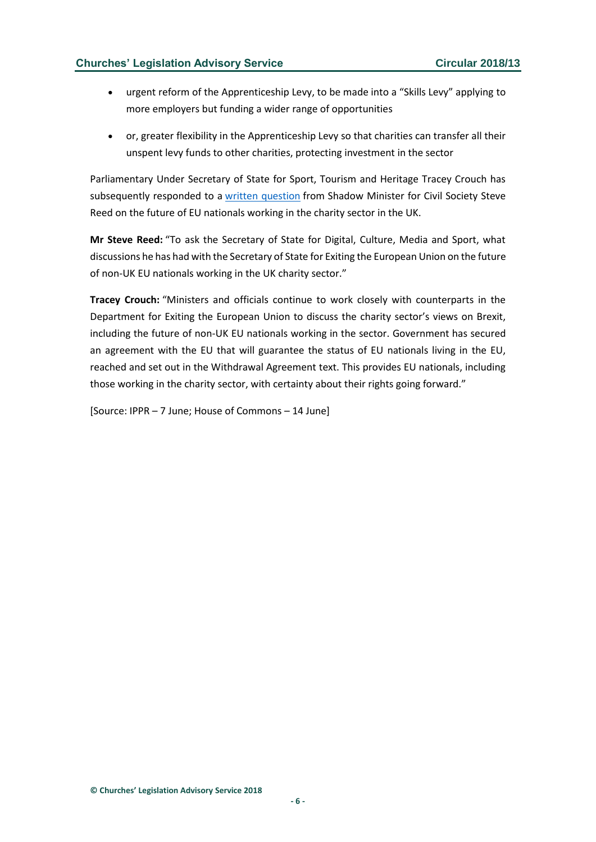- urgent reform of the Apprenticeship Levy, to be made into a "Skills Levy" applying to more employers but funding a wider range of opportunities
- or, greater flexibility in the Apprenticeship Levy so that charities can transfer all their unspent levy funds to other charities, protecting investment in the sector

Parliamentary Under Secretary of State for Sport, Tourism and Heritage Tracey Crouch has subsequently responded to a [written question](http://www.parliament.uk/business/publications/written-questions-answers-statements/written-question/Commons/2018-06-06/150689) from Shadow Minister for Civil Society Steve Reed on the future of EU nationals working in the charity sector in the UK.

**Mr Steve Reed:** "To ask the Secretary of State for Digital, Culture, Media and Sport, what discussions he has had with the Secretary of State for Exiting the European Union on the future of non-UK EU nationals working in the UK charity sector."

**Tracey Crouch:** "Ministers and officials continue to work closely with counterparts in the Department for Exiting the European Union to discuss the charity sector's views on Brexit, including the future of non-UK EU nationals working in the sector. Government has secured an agreement with the EU that will guarantee the status of EU nationals living in the EU, reached and set out in the Withdrawal Agreement text. This provides EU nationals, including those working in the charity sector, with certainty about their rights going forward."

[Source: IPPR – 7 June; House of Commons – 14 June]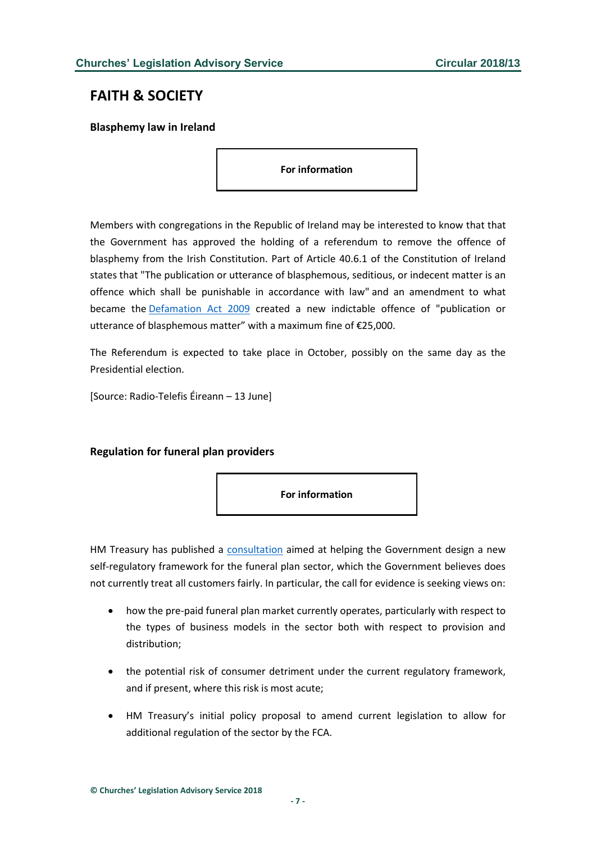# <span id="page-6-0"></span>**FAITH & SOCIETY**

<span id="page-6-1"></span>**Blasphemy law in Ireland**

**For information**

Members with congregations in the Republic of Ireland may be interested to know that that the Government has approved the holding of a referendum to remove the offence of blasphemy from the Irish Constitution. Part of Article 40.6.1 of the Constitution of Ireland states that "The publication or utterance of blasphemous, seditious, or indecent matter is an offence which shall be punishable in accordance with law" and an amendment to what became the [Defamation Act 2009](http://www.irishstatutebook.ie/eli/2009/act/31/enacted/en/html) created a new indictable offence of "publication or utterance of blasphemous matter" with a maximum fine of €25,000.

The Referendum is expected to take place in October, possibly on the same day as the Presidential election.

[Source: Radio-Telefis Éireann – 13 June]

## <span id="page-6-2"></span>**Regulation for funeral plan providers**



HM Treasury has published a [consultation](https://www.gov.uk/government/consultations/pre-paid-funeral-plans) aimed at helping the Government design a new self-regulatory framework for the funeral plan sector, which the Government believes does not currently treat all customers fairly. In particular, the call for evidence is seeking views on:

- how the pre-paid funeral plan market currently operates, particularly with respect to the types of business models in the sector both with respect to provision and distribution;
- the potential risk of consumer detriment under the current regulatory framework, and if present, where this risk is most acute;
- HM Treasury's initial policy proposal to amend current legislation to allow for additional regulation of the sector by the FCA.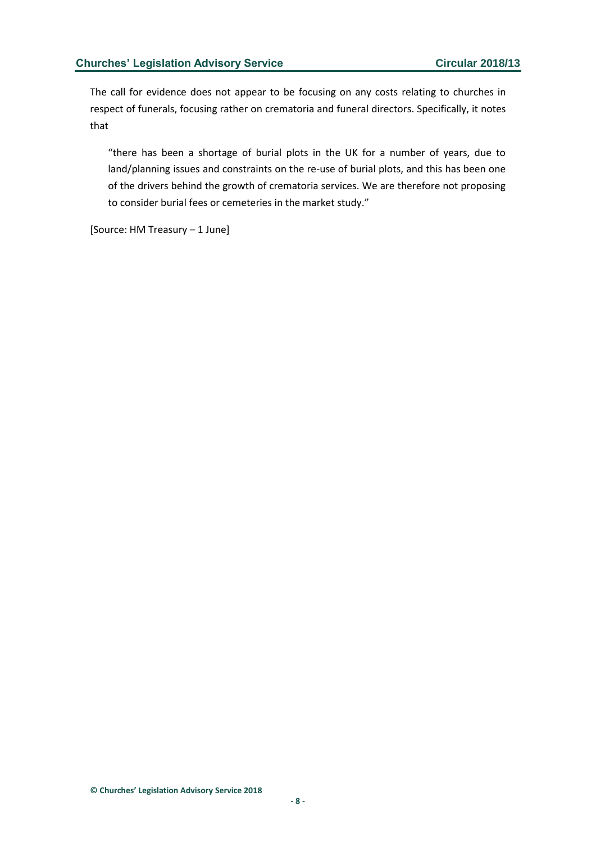The call for evidence does not appear to be focusing on any costs relating to churches in respect of funerals, focusing rather on crematoria and funeral directors. Specifically, it notes that

"there has been a shortage of burial plots in the UK for a number of years, due to land/planning issues and constraints on the re-use of burial plots, and this has been one of the drivers behind the growth of crematoria services. We are therefore not proposing to consider burial fees or cemeteries in the market study."

[Source: HM Treasury – 1 June]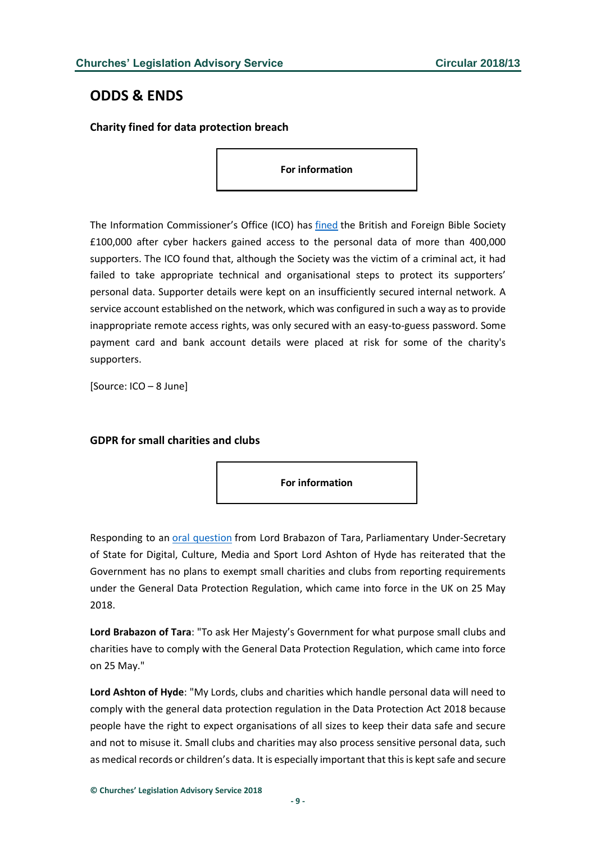# <span id="page-8-0"></span>**ODDS & ENDS**

## <span id="page-8-1"></span>**Charity fined for data protection breach**

**For information**

The Information Commissioner's Office (ICO) has [fined](http://ico.org.uk/about-the-ico/news-and-events/news-and-blogs/2018/06/bible-society-fined-after-security-failings/) the British and Foreign Bible Society £100,000 after cyber hackers gained access to the personal data of more than 400,000 supporters. The ICO found that, although the Society was the victim of a criminal act, it had failed to take appropriate technical and organisational steps to protect its supporters' personal data. Supporter details were kept on an insufficiently secured internal network. A service account established on the network, which was configured in such a way as to provide inappropriate remote access rights, was only secured with an easy-to-guess password. Some payment card and bank account details were placed at risk for some of the charity's supporters.

[Source: ICO – 8 June]

## <span id="page-8-2"></span>**GDPR for small charities and clubs**



Responding to an [oral question](http://hansard.parliament.uk/lords/2018-06-05/debates/87DB391F-B14F-4364-A506-5F58A9206EAE/GeneralDataProtectionRegulation) from Lord Brabazon of Tara, Parliamentary Under-Secretary of State for Digital, Culture, Media and Sport Lord Ashton of Hyde has reiterated that the Government has no plans to exempt small charities and clubs from reporting requirements under the General Data Protection Regulation, which came into force in the UK on 25 May 2018.

**Lord Brabazon of Tara**: "To ask Her Majesty's Government for what purpose small clubs and charities have to comply with the General Data Protection Regulation, which came into force on 25 May."

**Lord Ashton of Hyde**: "My Lords, clubs and charities which handle personal data will need to comply with the general data protection regulation in the Data Protection Act 2018 because people have the right to expect organisations of all sizes to keep their data safe and secure and not to misuse it. Small clubs and charities may also process sensitive personal data, such as medical records or children's data. It is especially important that this is kept safe and secure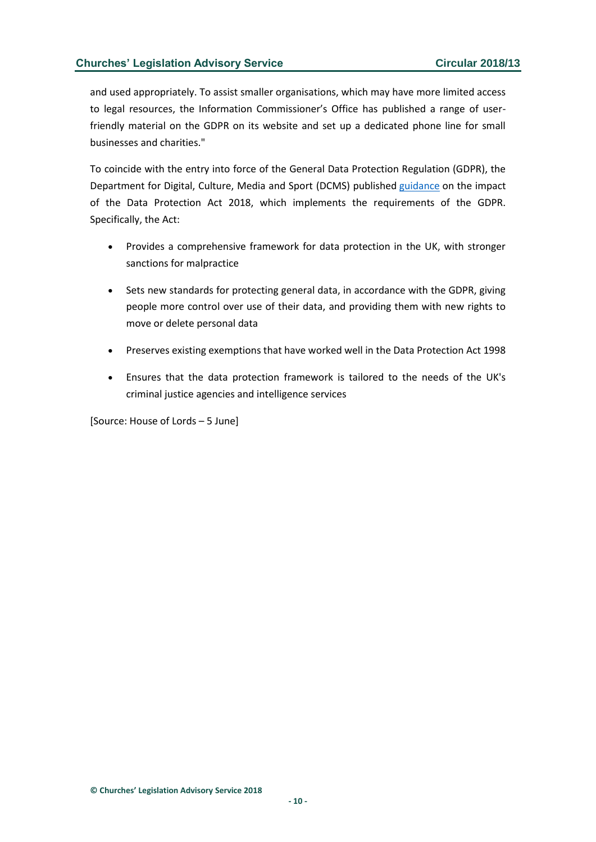and used appropriately. To assist smaller organisations, which may have more limited access to legal resources, the Information Commissioner's Office has published a range of userfriendly material on the GDPR on its website and set up a dedicated phone line for small businesses and charities."

To coincide with the entry into force of the General Data Protection Regulation (GDPR), the Department for Digital, Culture, Media and Sport (DCMS) published [guidance](http://assets.publishing.service.gov.uk/government/uploads/system/uploads/attachment_data/file/711162/2018-05-23_Factsheet_1_-_Act_overview.pdf) on the impact of the Data Protection Act 2018, which implements the requirements of the GDPR. Specifically, the Act:

- Provides a comprehensive framework for data protection in the UK, with stronger sanctions for malpractice
- Sets new standards for protecting general data, in accordance with the GDPR, giving people more control over use of their data, and providing them with new rights to move or delete personal data
- Preserves existing exemptions that have worked well in the Data Protection Act 1998
- Ensures that the data protection framework is tailored to the needs of the UK's criminal justice agencies and intelligence services

[Source: House of Lords – 5 June]